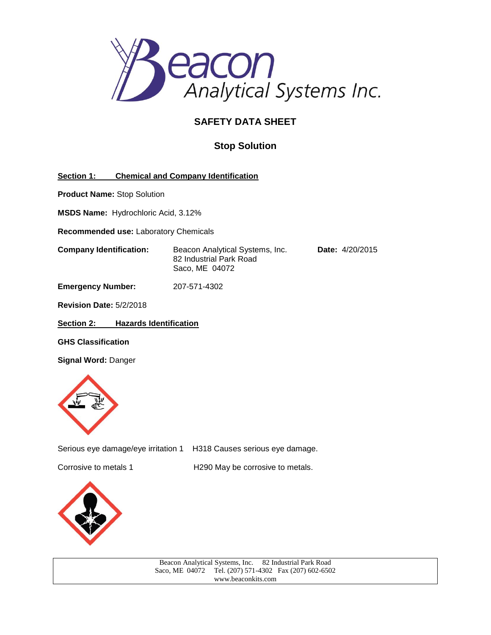

# **SAFETY DATA SHEET**

# **Stop Solution**

**Section 1: Chemical and Company Identification**

**Product Name:** Stop Solution

**MSDS Name:** Hydrochloric Acid, 3.12%

**Recommended use:** Laboratory Chemicals

**Company Identification:** Beacon Analytical Systems, Inc. **Date:** 4/20/2015 82 Industrial Park Road Saco, ME 04072

**Emergency Number:** 207-571-4302

**Revision Date:** 5/2/2018

**Section 2: Hazards Identification**

**GHS Classification**

**Signal Word:** Danger



Serious eye damage/eye irritation 1 H318 Causes serious eye damage.

Corrosive to metals 1 H290 May be corrosive to metals.



| Beacon Analytical Systems, Inc. 82 Industrial Park Road |  |
|---------------------------------------------------------|--|
| Saco, ME 04072 Tel. (207) 571-4302 Fax (207) 602-6502   |  |
| www.beaconkits.com                                      |  |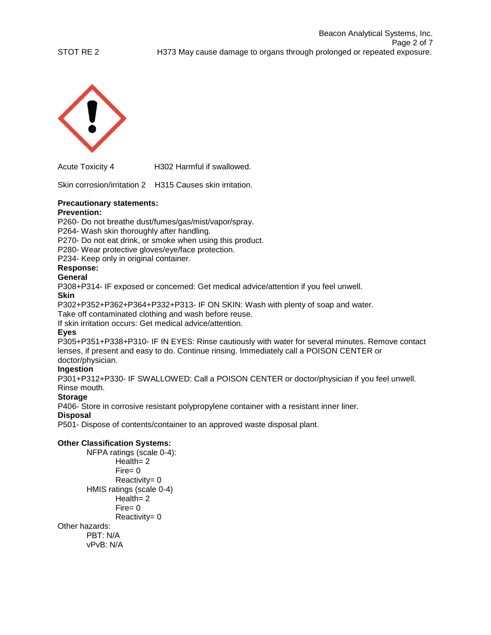



Acute Toxicity 4 H302 Harmful if swallowed.

Skin corrosion/irritation 2 H315 Causes skin irritation.

# **Precautionary statements:**

# **Prevention:**

P260- Do not breathe dust/fumes/gas/mist/vapor/spray.

P264- Wash skin thoroughly after handling.

P270- Do not eat drink, or smoke when using this product.

P280- Wear protective gloves/eye/face protection.

P234- Keep only in original container.

## **Response:**

## **General**

P308+P314- IF exposed or concerned: Get medical advice/attention if you feel unwell.

## **Skin**

P302+P352+P362+P364+P332+P313- IF ON SKIN: Wash with plenty of soap and water.

Take off contaminated clothing and wash before reuse.

If skin irritation occurs: Get medical advice/attention.

## **Eyes**

P305+P351+P338+P310- IF IN EYES: Rinse cautiously with water for several minutes. Remove contact lenses, if present and easy to do. Continue rinsing. Immediately call a POISON CENTER or doctor/physician.

## **Ingestion**

P301+P312+P330- IF SWALLOWED: Call a POISON CENTER or doctor/physician if you feel unwell. Rinse mouth.

## **Storage**

P406- Store in corrosive resistant polypropylene container with a resistant inner liner.

## **Disposal**

P501- Dispose of contents/container to an approved waste disposal plant.

## **Other Classification Systems:**

NFPA ratings (scale 0-4): Health= 2 Fire= 0 Reactivity= 0 HMIS ratings (scale 0-4) Health= 2 Fire= 0 Reactivity= 0

#### Other hazards:

PBT: N/A vPvB: N/A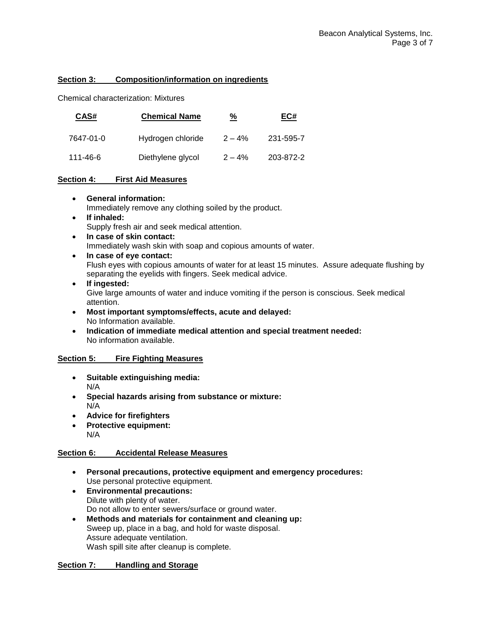## **Section 3: Composition/information on ingredients**

Chemical characterization: Mixtures

| CAS#      | <b>Chemical Name</b> | <u>%</u>  | EC#       |
|-----------|----------------------|-----------|-----------|
| 7647-01-0 | Hydrogen chloride    | $2 - 4%$  | 231-595-7 |
| 111-46-6  | Diethylene glycol    | $2 - 4\%$ | 203-872-2 |

## **Section 4: First Aid Measures**

**General information:**

Immediately remove any clothing soiled by the product.

- **If inhaled:** Supply fresh air and seek medical attention.
- **In case of skin contact:** Immediately wash skin with soap and copious amounts of water.
- **In case of eye contact:** Flush eyes with copious amounts of water for at least 15 minutes. Assure adequate flushing by separating the eyelids with fingers. Seek medical advice.

## **If ingested:** Give large amounts of water and induce vomiting if the person is conscious. Seek medical attention.

- **Most important symptoms/effects, acute and delayed:** No Information available.
- **Indication of immediate medical attention and special treatment needed:** No information available.

## **Section 5: Fire Fighting Measures**

- **Suitable extinguishing media:** N/A
- **Special hazards arising from substance or mixture:** N/A
- **Advice for firefighters**
- **Protective equipment:**  N/A

## **Section 6: Accidental Release Measures**

- **Personal precautions, protective equipment and emergency procedures:** Use personal protective equipment.
- **Environmental precautions:** Dilute with plenty of water. Do not allow to enter sewers/surface or ground water.
- **Methods and materials for containment and cleaning up:** Sweep up, place in a bag, and hold for waste disposal. Assure adequate ventilation. Wash spill site after cleanup is complete.

## **Section 7: Handling and Storage**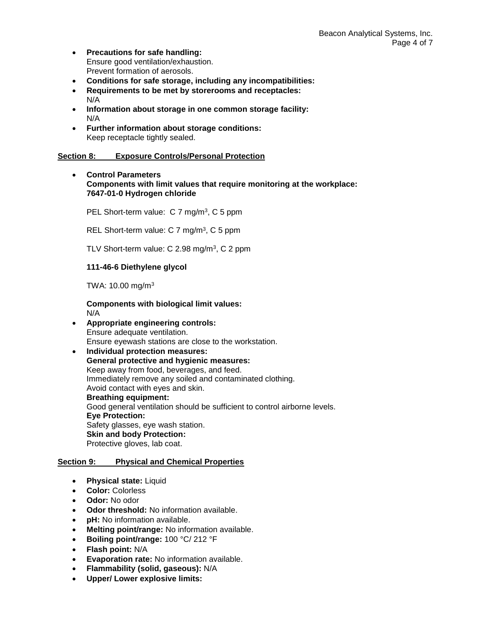- **Precautions for safe handling:** Ensure good ventilation/exhaustion. Prevent formation of aerosols.
- **Conditions for safe storage, including any incompatibilities:**
- **Requirements to be met by storerooms and receptacles:**  N/A
- **Information about storage in one common storage facility:** N/A
- **Further information about storage conditions:** Keep receptacle tightly sealed.

## **Section 8: Exposure Controls/Personal Protection**

 **Control Parameters Components with limit values that require monitoring at the workplace: 7647-01-0 Hydrogen chloride**

PEL Short-term value: C 7 mg/m<sup>3</sup>, C 5 ppm

REL Short-term value: C 7 mg/m<sup>3</sup>, C 5 ppm

TLV Short-term value: C 2.98 mg/m<sup>3</sup>, C 2 ppm

## **111-46-6 Diethylene glycol**

TWA: 10.00 mg/m<sup>3</sup>

**Components with biological limit values:** N/A

- **Appropriate engineering controls:**  Ensure adequate ventilation. Ensure eyewash stations are close to the workstation.
- **Individual protection measures: General protective and hygienic measures:** Keep away from food, beverages, and feed. Immediately remove any soiled and contaminated clothing. Avoid contact with eyes and skin. **Breathing equipment:** Good general ventilation should be sufficient to control airborne levels. **Eye Protection:** Safety glasses, eye wash station. **Skin and body Protection:** Protective gloves, lab coat.

## **Section 9: Physical and Chemical Properties**

- **Physical state:** Liquid
- **Color:** Colorless
- **Odor:** No odor
- **Odor threshold:** No information available.
- **pH:** No information available.
- **Melting point/range:** No information available.
- **Boiling point/range:** 100 °C/ 212 °F
- **Flash point:** N/A
- **Evaporation rate:** No information available.
- **Flammability (solid, gaseous):** N/A
- **Upper/ Lower explosive limits:**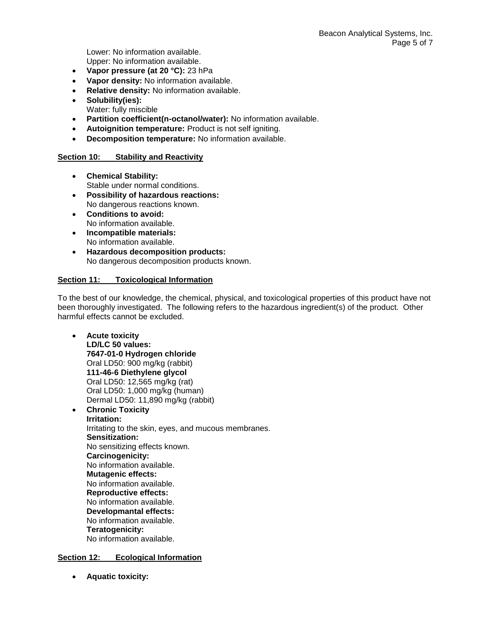Lower: No information available. Upper: No information available.

- **Vapor pressure (at 20 °C):** 23 hPa
- **Vapor density:** No information available.
- **Relative density:** No information available.
- **Solubility(ies):** Water: fully miscible
- **Partition coefficient(n-octanol/water):** No information available.
- **Autoignition temperature:** Product is not self igniting.
- **Decomposition temperature:** No information available.

## **Section 10: Stability and Reactivity**

- **Chemical Stability:** Stable under normal conditions.
- **Possibility of hazardous reactions:** No dangerous reactions known.
- **Conditions to avoid:** No information available.
- **Incompatible materials:** No information available.
- **Hazardous decomposition products:** No dangerous decomposition products known.

## **Section 11: Toxicological Information**

To the best of our knowledge, the chemical, physical, and toxicological properties of this product have not been thoroughly investigated. The following refers to the hazardous ingredient(s) of the product. Other harmful effects cannot be excluded.

- **Acute toxicity LD/LC 50 values: 7647-01-0 Hydrogen chloride** Oral LD50: 900 mg/kg (rabbit) **111-46-6 Diethylene glycol** Oral LD50: 12,565 mg/kg (rat) Oral LD50: 1,000 mg/kg (human) Dermal LD50: 11,890 mg/kg (rabbit)
- **Chronic Toxicity Irritation:** Irritating to the skin, eyes, and mucous membranes. **Sensitization:** No sensitizing effects known. **Carcinogenicity:** No information available. **Mutagenic effects:** No information available. **Reproductive effects:** No information available. **Developmantal effects:** No information available. **Teratogenicity:** No information available.

## **Section 12: Ecological Information**

**Aquatic toxicity:**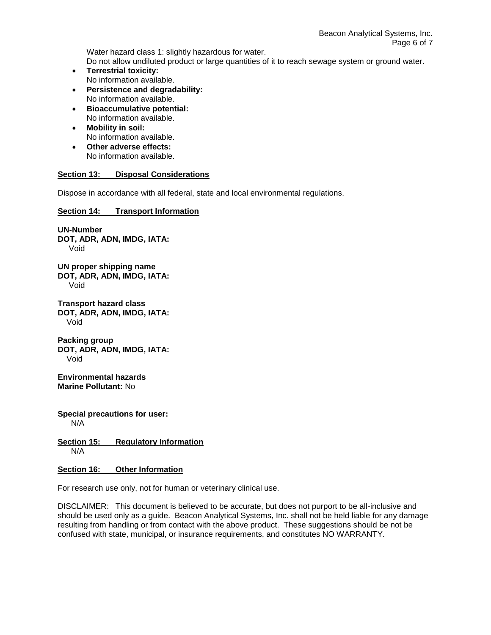Water hazard class 1: slightly hazardous for water. Do not allow undiluted product or large quantities of it to reach sewage system or ground water.

- **Terrestrial toxicity:** No information available.
- **Persistence and degradability:** No information available.
- **Bioaccumulative potential:** No information available.
- **Mobility in soil:** No information available.
- **Other adverse effects:** No information available.

## **Section 13: Disposal Considerations**

Dispose in accordance with all federal, state and local environmental regulations.

**Section 14: Transport Information**

**UN-Number DOT, ADR, ADN, IMDG, IATA:** Void

**UN proper shipping name DOT, ADR, ADN, IMDG, IATA:** Void

**Transport hazard class DOT, ADR, ADN, IMDG, IATA:** Void

**Packing group DOT, ADR, ADN, IMDG, IATA:** Void

**Environmental hazards Marine Pollutant:** No

**Special precautions for user:** N/A

**Section 15: Regulatory Information** N/A

**Section 16: Other Information**

For research use only, not for human or veterinary clinical use.

DISCLAIMER: This document is believed to be accurate, but does not purport to be all-inclusive and should be used only as a guide. Beacon Analytical Systems, Inc. shall not be held liable for any damage resulting from handling or from contact with the above product. These suggestions should be not be confused with state, municipal, or insurance requirements, and constitutes NO WARRANTY.